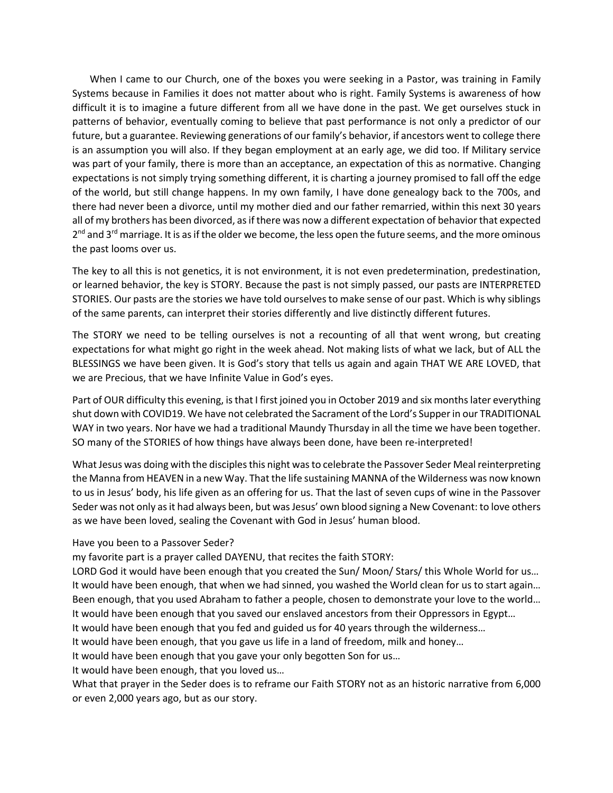When I came to our Church, one of the boxes you were seeking in a Pastor, was training in Family Systems because in Families it does not matter about who is right. Family Systems is awareness of how difficult it is to imagine a future different from all we have done in the past. We get ourselves stuck in patterns of behavior, eventually coming to believe that past performance is not only a predictor of our future, but a guarantee. Reviewing generations of our family's behavior, if ancestors went to college there is an assumption you will also. If they began employment at an early age, we did too. If Military service was part of your family, there is more than an acceptance, an expectation of this as normative. Changing expectations is not simply trying something different, it is charting a journey promised to fall off the edge of the world, but still change happens. In my own family, I have done genealogy back to the 700s, and there had never been a divorce, until my mother died and our father remarried, within this next 30 years all of my brothers has been divorced, as if there was now a different expectation of behavior that expected 2<sup>nd</sup> and 3<sup>rd</sup> marriage. It is as if the older we become, the less open the future seems, and the more ominous the past looms over us.

The key to all this is not genetics, it is not environment, it is not even predetermination, predestination, or learned behavior, the key is STORY. Because the past is not simply passed, our pasts are INTERPRETED STORIES. Our pasts are the stories we have told ourselves to make sense of our past. Which is why siblings of the same parents, can interpret their stories differently and live distinctly different futures.

The STORY we need to be telling ourselves is not a recounting of all that went wrong, but creating expectations for what might go right in the week ahead. Not making lists of what we lack, but of ALL the BLESSINGS we have been given. It is God's story that tells us again and again THAT WE ARE LOVED, that we are Precious, that we have Infinite Value in God's eyes.

Part of OUR difficulty this evening, is that I first joined you in October 2019 and six months later everything shut down with COVID19. We have not celebrated the Sacrament of the Lord's Supper in our TRADITIONAL WAY in two years. Nor have we had a traditional Maundy Thursday in all the time we have been together. SO many of the STORIES of how things have always been done, have been re-interpreted!

What Jesus was doing with the disciples this night was to celebrate the Passover Seder Meal reinterpreting the Manna from HEAVEN in a new Way. That the life sustaining MANNA of the Wilderness was now known to us in Jesus' body, his life given as an offering for us. That the last of seven cups of wine in the Passover Seder was not only as it had always been, but was Jesus' own blood signing a New Covenant: to love others as we have been loved, sealing the Covenant with God in Jesus' human blood.

Have you been to a Passover Seder?

my favorite part is a prayer called DAYENU, that recites the faith STORY:

LORD God it would have been enough that you created the Sun/ Moon/ Stars/ this Whole World for us… It would have been enough, that when we had sinned, you washed the World clean for us to start again… Been enough, that you used Abraham to father a people, chosen to demonstrate your love to the world… It would have been enough that you saved our enslaved ancestors from their Oppressors in Egypt…

It would have been enough that you fed and guided us for 40 years through the wilderness…

It would have been enough, that you gave us life in a land of freedom, milk and honey…

It would have been enough that you gave your only begotten Son for us…

It would have been enough, that you loved us…

What that prayer in the Seder does is to reframe our Faith STORY not as an historic narrative from 6,000 or even 2,000 years ago, but as our story.